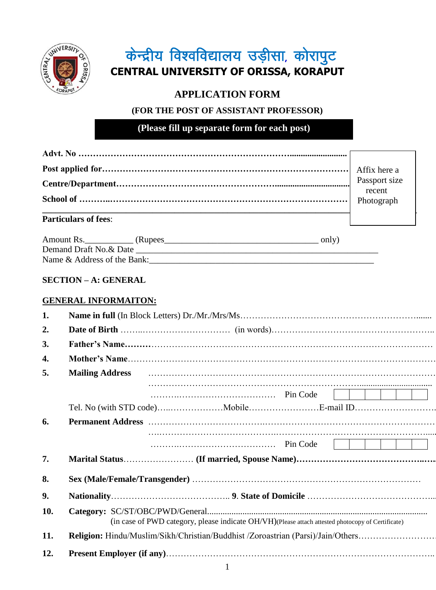

# केन्द्रीय विश्वविद्यालय उड़ीसा, कोरापुट **CENTRAL UNIVERSITY OF ORISSA, KORAPUT**

# **APPLICATION FORM**

# **(FOR THE POST OF ASSISTANT PROFESSOR)**

**(Please fill up separate form for each post)**

|                             | Passport size<br>recent |
|-----------------------------|-------------------------|
|                             |                         |
| <b>Particulars of fees:</b> |                         |

| Amount Rs.                  | (Rupees) | only, |
|-----------------------------|----------|-------|
| Demand Draft No. & Date     |          |       |
| Name & Address of the Bank: |          |       |

# **SECTION – A: GENERAL**

# **GENERAL INFORMAITON:**

| 1.  |                        |                                                                                                   |  |                                        |  |  |
|-----|------------------------|---------------------------------------------------------------------------------------------------|--|----------------------------------------|--|--|
| 2.  |                        |                                                                                                   |  |                                        |  |  |
| 3.  |                        |                                                                                                   |  |                                        |  |  |
| 4.  |                        |                                                                                                   |  |                                        |  |  |
| 5.  | <b>Mailing Address</b> |                                                                                                   |  |                                        |  |  |
|     |                        |                                                                                                   |  | $\begin{array}{ccc} & & & \end{array}$ |  |  |
|     |                        |                                                                                                   |  |                                        |  |  |
| 6.  |                        |                                                                                                   |  |                                        |  |  |
|     |                        |                                                                                                   |  |                                        |  |  |
| 7.  |                        |                                                                                                   |  |                                        |  |  |
| 8.  |                        |                                                                                                   |  |                                        |  |  |
| 9.  |                        |                                                                                                   |  |                                        |  |  |
| 10. |                        | (in case of PWD category, please indicate OH/VH)(Please attach attested photocopy of Certificate) |  |                                        |  |  |
| 11. |                        |                                                                                                   |  |                                        |  |  |
| 12. |                        |                                                                                                   |  |                                        |  |  |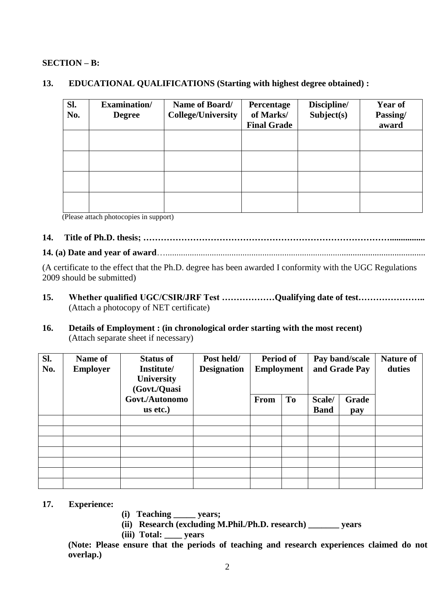#### **SECTION – B:**

#### **13. EDUCATIONAL QUALIFICATIONS (Starting with highest degree obtained) :**

| SI.<br>No. | <b>Examination/</b><br><b>Degree</b> | Name of Board/<br><b>College/University</b> | Percentage<br>of Marks/<br><b>Final Grade</b> | Discipline/<br>Subject(s) | <b>Year of</b><br>Passing/<br>award |
|------------|--------------------------------------|---------------------------------------------|-----------------------------------------------|---------------------------|-------------------------------------|
|            |                                      |                                             |                                               |                           |                                     |
|            |                                      |                                             |                                               |                           |                                     |
|            |                                      |                                             |                                               |                           |                                     |
|            |                                      |                                             |                                               |                           |                                     |

(Please attach photocopies in support)

# **14. Title of Ph.D. thesis; …………………………………………………………………………................**

**14. (a) Date and year of award**…......................................................................................................................

(A certificate to the effect that the Ph.D. degree has been awarded I conformity with the UGC Regulations 2009 should be submitted)

- **15. Whether qualified UGC/CSIR/JRF Test ………………Qualifying date of test…………………..** (Attach a photocopy of NET certificate)
- **16. Details of Employment : (in chronological order starting with the most recent)** (Attach separate sheet if necessary)

| Sl.<br>No. | <b>Name of</b><br><b>Employer</b> | <b>Status of</b><br>Institute/<br><b>University</b><br>(Govt./Quasi | Post held/<br><b>Designation</b> | Period of<br><b>Employment</b> |           |             | Pay band/scale<br>and Grade Pay | <b>Nature of</b><br>duties |
|------------|-----------------------------------|---------------------------------------------------------------------|----------------------------------|--------------------------------|-----------|-------------|---------------------------------|----------------------------|
|            |                                   | Govt./Autonomo                                                      |                                  | From                           | <b>To</b> | Scale/      | Grade                           |                            |
|            |                                   | us etc.)                                                            |                                  |                                |           | <b>Band</b> | pay                             |                            |
|            |                                   |                                                                     |                                  |                                |           |             |                                 |                            |
|            |                                   |                                                                     |                                  |                                |           |             |                                 |                            |
|            |                                   |                                                                     |                                  |                                |           |             |                                 |                            |
|            |                                   |                                                                     |                                  |                                |           |             |                                 |                            |
|            |                                   |                                                                     |                                  |                                |           |             |                                 |                            |
|            |                                   |                                                                     |                                  |                                |           |             |                                 |                            |
|            |                                   |                                                                     |                                  |                                |           |             |                                 |                            |

#### **17. Experience:**

- **(i) Teaching \_\_\_\_\_ years;**
- **(ii) Research (excluding M.Phil./Ph.D. research) \_\_\_\_\_\_\_ years**
- **(iii) Total: \_\_\_\_ years**

**(Note: Please ensure that the periods of teaching and research experiences claimed do not overlap.)**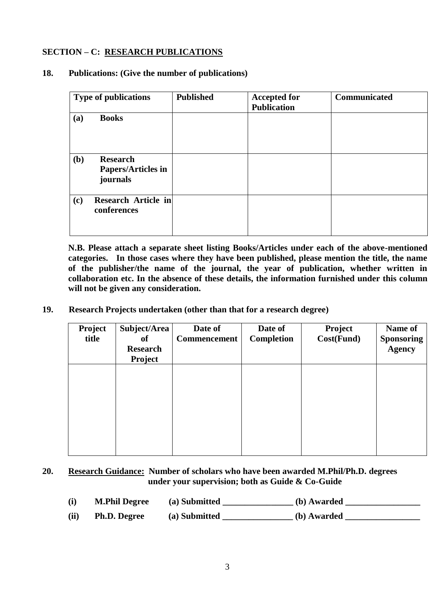## **SECTION – C: RESEARCH PUBLICATIONS**

#### **18. Publications: (Give the number of publications)**

| <b>Type of publications</b> |                                                          | <b>Published</b> | <b>Accepted for</b><br><b>Publication</b> | <b>Communicated</b> |
|-----------------------------|----------------------------------------------------------|------------------|-------------------------------------------|---------------------|
| (a)                         | <b>Books</b>                                             |                  |                                           |                     |
| (b)                         | <b>Research</b><br><b>Papers/Articles in</b><br>journals |                  |                                           |                     |
| (c)                         | <b>Research Article in</b><br>conferences                |                  |                                           |                     |

**N.B. Please attach a separate sheet listing Books/Articles under each of the above-mentioned categories. In those cases where they have been published, please mention the title, the name of the publisher/the name of the journal, the year of publication, whether written in collaboration etc. In the absence of these details, the information furnished under this column will not be given any consideration.**

**19. Research Projects undertaken (other than that for a research degree)**

| Project<br>title | Subject/Area<br>of<br><b>Research</b><br>Project | Date of<br><b>Commencement</b> | Date of<br><b>Completion</b> | Project<br>Cost(Fund) | Name of<br><b>Sponsoring</b><br><b>Agency</b> |
|------------------|--------------------------------------------------|--------------------------------|------------------------------|-----------------------|-----------------------------------------------|
|                  |                                                  |                                |                              |                       |                                               |
|                  |                                                  |                                |                              |                       |                                               |

#### **20. Research Guidance: Number of scholars who have been awarded M.Phil/Ph.D. degrees under your supervision; both as Guide & Co-Guide**

- **(i) M.Phil Degree (a) Submitted \_\_\_\_\_\_\_\_\_\_\_\_\_\_\_\_ (b) Awarded \_\_\_\_\_\_\_\_\_\_\_\_\_\_\_\_\_**
- **(ii) Ph.D. Degree (a) Submitted \_\_\_\_\_\_\_\_\_\_\_\_\_\_\_\_ (b) Awarded \_\_\_\_\_\_\_\_\_\_\_\_\_\_\_\_\_**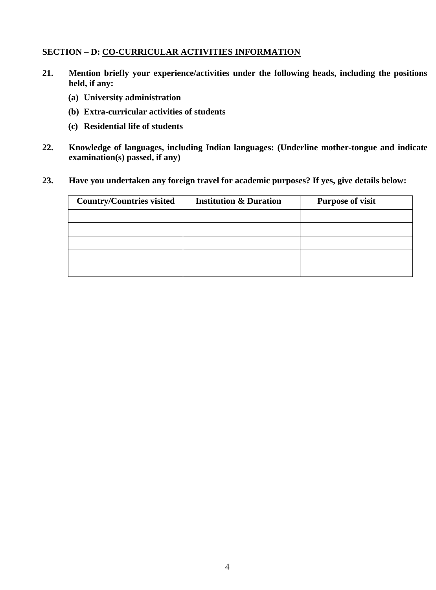### **SECTION – D: CO-CURRICULAR ACTIVITIES INFORMATION**

- **21. Mention briefly your experience/activities under the following heads, including the positions held, if any:** 
	- **(a) University administration**
	- **(b) Extra-curricular activities of students**
	- **(c) Residential life of students**
- **22. Knowledge of languages, including Indian languages: (Underline mother-tongue and indicate examination(s) passed, if any)**
- **23. Have you undertaken any foreign travel for academic purposes? If yes, give details below:**

| <b>Country/Countries visited</b> | <b>Institution &amp; Duration</b> | <b>Purpose of visit</b> |
|----------------------------------|-----------------------------------|-------------------------|
|                                  |                                   |                         |
|                                  |                                   |                         |
|                                  |                                   |                         |
|                                  |                                   |                         |
|                                  |                                   |                         |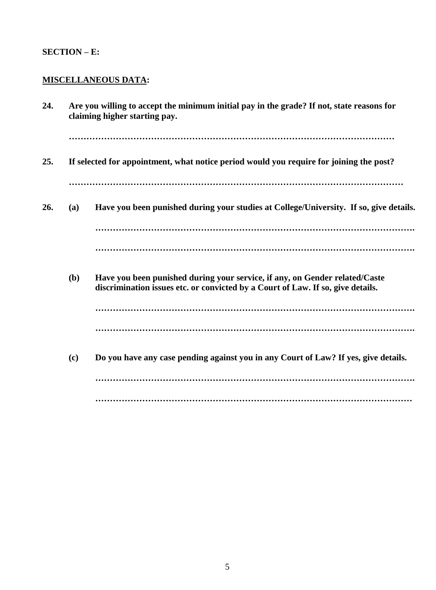# **SECTION – E:**

# **MISCELLANEOUS DATA:**

| 24. |     | Are you willing to accept the minimum initial pay in the grade? If not, state reasons for<br>claiming higher starting pay.                                     |  |  |  |
|-----|-----|----------------------------------------------------------------------------------------------------------------------------------------------------------------|--|--|--|
|     |     |                                                                                                                                                                |  |  |  |
| 25. |     | If selected for appointment, what notice period would you require for joining the post?                                                                        |  |  |  |
|     |     |                                                                                                                                                                |  |  |  |
| 26. | (a) | Have you been punished during your studies at College/University. If so, give details.                                                                         |  |  |  |
|     |     |                                                                                                                                                                |  |  |  |
|     |     |                                                                                                                                                                |  |  |  |
|     | (b) | Have you been punished during your service, if any, on Gender related/Caste<br>discrimination issues etc. or convicted by a Court of Law. If so, give details. |  |  |  |
|     |     |                                                                                                                                                                |  |  |  |
|     |     |                                                                                                                                                                |  |  |  |
|     | (c) | Do you have any case pending against you in any Court of Law? If yes, give details.                                                                            |  |  |  |
|     |     |                                                                                                                                                                |  |  |  |
|     |     |                                                                                                                                                                |  |  |  |